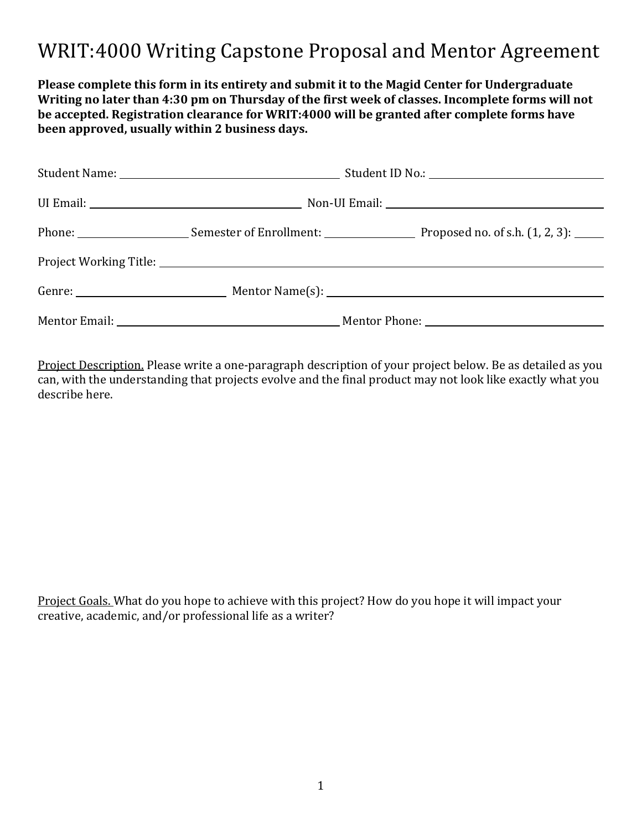### WRIT:4000 Writing Capstone Proposal and Mentor Agreement

**Please complete this form in its entirety and submit it to the Magid Center for Undergraduate Writing no later than 4:30 pm on Thursday of the first week of classes. Incomplete forms will not be accepted. Registration clearance for WRIT:4000 will be granted after complete forms have been approved, usually within 2 business days.** 

|  | Phone: Semester of Enrollment: Proposed no. of s.h. (1, 2, 3): ____ |
|--|---------------------------------------------------------------------|
|  |                                                                     |
|  |                                                                     |
|  |                                                                     |

Project Description. Please write a one-paragraph description of your project below. Be as detailed as you can, with the understanding that projects evolve and the final product may not look like exactly what you describe here.

Project Goals. What do you hope to achieve with this project? How do you hope it will impact your creative, academic, and/or professional life as a writer?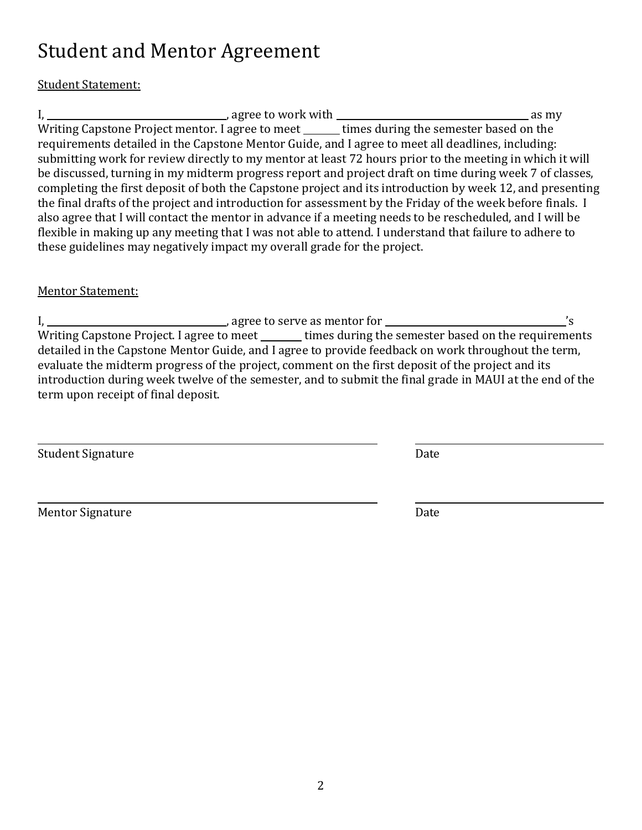# Student and Mentor Agreement

### Student Statement:

I, , agree to work with as my Writing Capstone Project mentor. I agree to meet \_\_\_\_\_\_ times during the semester based on the requirements detailed in the Capstone Mentor Guide, and I agree to meet all deadlines, including: submitting work for review directly to my mentor at least 72 hours prior to the meeting in which it will be discussed, turning in my midterm progress report and project draft on time during week 7 of classes, completing the first deposit of both the Capstone project and its introduction by week 12, and presenting the final drafts of the project and introduction for assessment by the Friday of the week before finals. I also agree that I will contact the mentor in advance if a meeting needs to be rescheduled, and I will be flexible in making up any meeting that I was not able to attend. I understand that failure to adhere to these guidelines may negatively impact my overall grade for the project.

#### Mentor Statement:

I, , agree to serve as mentor for 's Writing Capstone Project. I agree to meet \_\_\_\_\_\_ times during the semester based on the requirements detailed in the Capstone Mentor Guide, and I agree to provide feedback on work throughout the term, evaluate the midterm progress of the project, comment on the first deposit of the project and its introduction during week twelve of the semester, and to submit the final grade in MAUI at the end of the term upon receipt of final deposit.

Student Signature Date

Mentor Signature Date